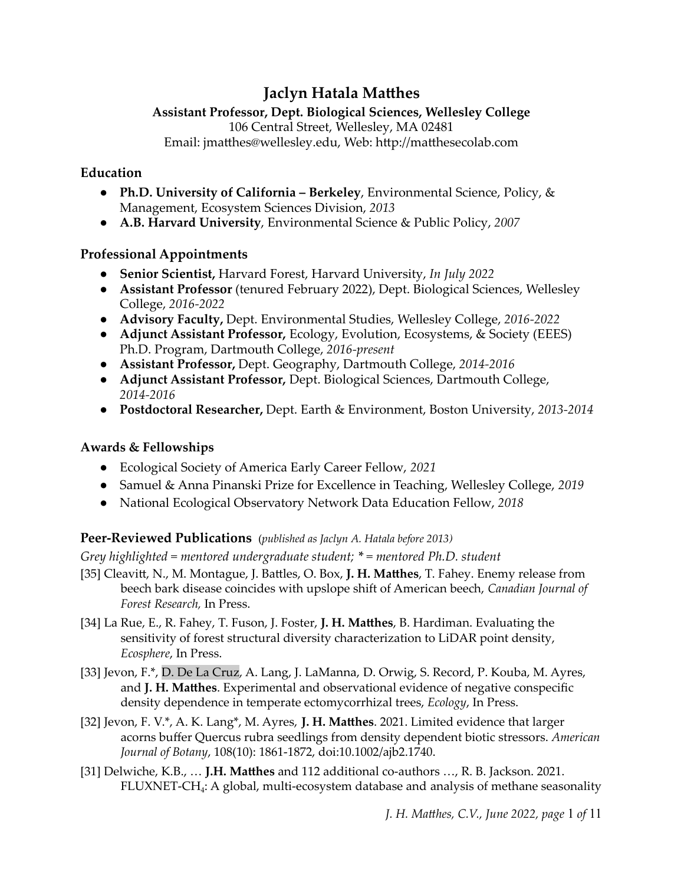# **Jaclyn Hatala Matthes**

# **Assistant Professor, Dept. Biological Sciences, Wellesley College**

106 Central Street, Wellesley, MA 02481

Email: jmatthes@wellesley.edu, Web: http://matthesecolab.com

### **Education**

- *●* **Ph.D. University of California – Berkeley**, Environmental Science, Policy, & Management, Ecosystem Sciences Division, *2013*
- *●* **A.B. Harvard University**, Environmental Science & Public Policy, *2007*

### **Professional Appointments**

- *●* **Senior Scientist,** Harvard Forest, Harvard University, *In July 2022*
- *●* **Assistant Professor** (tenured February 2022), Dept. Biological Sciences, Wellesley College, *2016-2022*
- *●* **Advisory Faculty,** Dept. Environmental Studies, Wellesley College, *2016-2022*
- *●* **Adjunct Assistant Professor,** Ecology, Evolution, Ecosystems, & Society (EEES) Ph.D. Program, Dartmouth College, *2016-present*
- *●* **Assistant Professor,** Dept. Geography, Dartmouth College, *2014-2016*
- *●* **Adjunct Assistant Professor,** Dept. Biological Sciences, Dartmouth College, *2014-2016*
- *●* **Postdoctoral Researcher,** Dept. Earth & Environment, Boston University, *2013-2014*

# **Awards & Fellowships**

- **●** Ecological Society of America Early Career Fellow, *2021*
- **●** Samuel & Anna Pinanski Prize for Excellence in Teaching, Wellesley College, *2019*
- **●** National Ecological Observatory Network Data Education Fellow, *2018*

### **Peer-Reviewed Publications** (*published as Jaclyn A. Hatala before 2013)*

*Grey highlighted = mentored undergraduate student; \* = mentored Ph.D. student*

- [35] Cleavitt, N., M. Montague, J. Battles, O. Box, **J. H. Matthes**, T. Fahey. Enemy release from beech bark disease coincides with upslope shift of American beech, *Canadian Journal of Forest Research,* In Press.
- [34] La Rue, E., R. Fahey, T. Fuson, J. Foster, **J. H. Matthes**, B. Hardiman. Evaluating the sensitivity of forest structural diversity characterization to LiDAR point density, *Ecosphere*, In Press.
- [33] Jevon, F.\*, D. De La Cruz, A. Lang, J. LaManna, D. Orwig, S. Record, P. Kouba, M. Ayres, and **J. H. Matthes**. Experimental and observational evidence of negative conspecific density dependence in temperate ectomycorrhizal trees, *Ecology*, In Press.
- [32] Jevon, F. V.\*, A. K. Lang\*, M. Ayres, **J. H. Matthes**. 2021. Limited evidence that larger acorns buffer Quercus rubra seedlings from density dependent biotic stressors. *American Journal of Botany*, 108(10): 1861-1872, doi:10.1002/ajb2.1740.
- [31] Delwiche, K.B., … **J.H. Matthes** and 112 additional co-authors …, R. B. Jackson. 2021. FLUXNET-CH<sup>4</sup> : A global, multi-ecosystem database and analysis of methane seasonality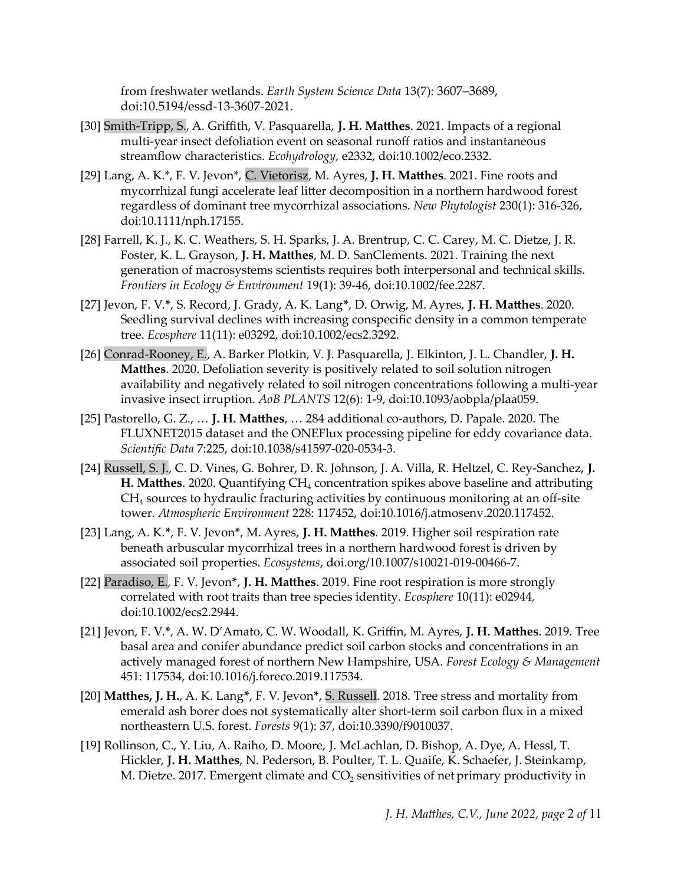from freshwater wetlands. *Earth System Science Data* 13(7): 3607–3689, doi:10.5194/essd-13-3607-2021.

- [30] Smith-Tripp, S., A. Griffith, V. Pasquarella, **J. H. Matthes**. 2021. Impacts of a regional multi-year insect defoliation event on seasonal runoff ratios and instantaneous streamflow characteristics. *Ecohydrology,* e2332, doi:10.1002/eco.2332.
- [29] Lang, A. K.\*, F. V. Jevon\*, C. Vietorisz, M. Ayres, **J. H. Matthes**. 2021. Fine roots and mycorrhizal fungi accelerate leaf litter decomposition in a northern hardwood forest regardless of dominant tree mycorrhizal associations. *New Phytologist* 230(1): 316-326, doi:10.1111/nph.17155.
- [28] Farrell, K. J., K. C. Weathers, S. H. Sparks, J. A. Brentrup, C. C. Carey, M. C. Dietze, J. R. Foster, K. L. Grayson, **J. H. Matthes**, M. D. SanClements. 2021. Training the next generation of macrosystems scientists requires both interpersonal and technical skills. *Frontiers in Ecology & Environment* 19(1): 39-46, doi:10.1002/fee.2287.
- [27] Jevon, F. V.**\***, S. Record, J. Grady, A. K. Lang**\***, D. Orwig, M. Ayres, **J. H. Matthes**. 2020. Seedling survival declines with increasing conspecific density in a common temperate tree. *Ecosphere* 11(11): e03292, doi:10.1002/ecs2.3292.
- [26] Conrad-Rooney, E., A. Barker Plotkin, V. J. Pasquarella, J. Elkinton, J. L. Chandler, **J. H. Matthes**. 2020. Defoliation severity is positively related to soil solution nitrogen availability and negatively related to soil nitrogen concentrations following a multi-year invasive insect irruption. *AoB PLANTS* 12(6): 1-9, doi:10.1093/aobpla/plaa059.
- [25] Pastorello, G. Z., … **J. H. Matthes**, … 284 additional co-authors, D. Papale. 2020. The FLUXNET2015 dataset and the ONEFlux processing pipeline for eddy covariance data. *Scientific Data* 7:225, doi:10.1038/s41597-020-0534-3.
- [24] Russell, S. J., C. D. Vines, G. Bohrer, D. R. Johnson, J. A. Villa, R. Heltzel, C. Rey-Sanchez, **J. H. Matthes**. 2020. Quantifying CH<sub>4</sub> concentration spikes above baseline and attributing CH<sup>4</sup> sources to hydraulic fracturing activities by continuous monitoring at an off-site tower. *Atmospheric Environment* 228: 117452, doi:10.1016/j.atmosenv.2020.117452.
- [23] Lang, A. K.**\***, F. V. Jevon**\***, M. Ayres, **J. H. Matthes**. 2019. Higher soil respiration rate beneath arbuscular mycorrhizal trees in a northern hardwood forest is driven by associated soil properties. *Ecosystems*, doi.org/10.1007/s10021-019-00466-7.
- [22] Paradiso, E., F. V. Jevon**\***, **J. H. Matthes**. 2019. Fine root respiration is more strongly correlated with root traits than tree species identity. *Ecosphere* 10(11): e02944, doi:10.1002/ecs2.2944.
- [21] Jevon, F. V.**\***, A. W. D'Amato, C. W. Woodall, K. Griffin, M. Ayres, **J. H. Matthes**. 2019. Tree basal area and conifer abundance predict soil carbon stocks and concentrations in an actively managed forest of northern New Hampshire, USA. *Forest Ecology & Management* 451: 117534, doi:10.1016/j.foreco.2019.117534.
- [20] **Matthes, J. H.**, A. K. Lang**\***, F. V. Jevon**\***, S. Russell. 2018. Tree stress and mortality from emerald ash borer does not systematically alter short-term soil carbon flux in a mixed northeastern U.S. forest. *Forests* 9(1): 37, doi:10.3390/f9010037.
- [19] Rollinson, C., Y. Liu, A. Raiho, D. Moore, J. McLachlan, D. Bishop, A. Dye, A. Hessl, T. Hickler, **J. H. Matthes**, N. Pederson, B. Poulter, T. L. Quaife, K. Schaefer, J. Steinkamp, M. Dietze. 2017. Emergent climate and  $CO<sub>2</sub>$  sensitivities of net primary productivity in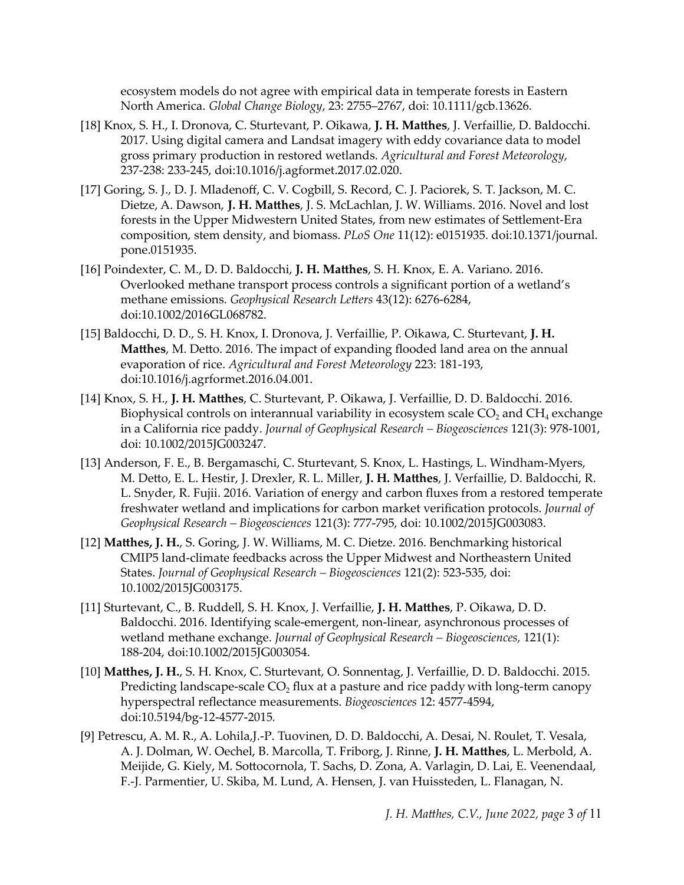ecosystem models do not agree with empirical data in temperate forests in Eastern North America. *Global Change Biology*, 23: 2755–2767, doi: 10.1111/gcb.13626.

- [18] Knox, S. H., I. Dronova, C. Sturtevant, P. Oikawa, **J. H. Matthes**, J. Verfaillie, D. Baldocchi. 2017. Using digital camera and Landsat imagery with eddy covariance data to model gross primary production in restored wetlands. *Agricultural and Forest Meteorology*, 237-238: 233-245, doi:10.1016/j.agformet.2017.02.020.
- [17] Goring, S. J., D. J. Mladenoff, C. V. Cogbill, S. Record, C. J. Paciorek, S. T. Jackson, M. C. Dietze, A. Dawson, **J. H. Matthes**, J. S. McLachlan, J. W. Williams. 2016. Novel and lost forests in the Upper Midwestern United States, from new estimates of Settlement-Era composition, stem density, and biomass. *PLoS One* 11(12): e0151935. doi:10.1371/journal. pone.0151935.
- [16] Poindexter, C. M., D. D. Baldocchi, **J. H. Matthes**, S. H. Knox, E. A. Variano. 2016. Overlooked methane transport process controls a significant portion of a wetland's methane emissions. *Geophysical Research Letters* 43(12): 6276-6284, doi:10.1002/2016GL068782.
- [15] Baldocchi, D. D., S. H. Knox, I. Dronova, J. Verfaillie, P. Oikawa, C. Sturtevant, **J. H. Matthes**, M. Detto. 2016. The impact of expanding flooded land area on the annual evaporation of rice. *Agricultural and Forest Meteorology* 223: 181-193, doi:10.1016/j.agrformet.2016.04.001.
- [14] Knox, S. H., **J. H. Matthes**, C. Sturtevant, P. Oikawa, J. Verfaillie, D. D. Baldocchi. 2016. Biophysical controls on interannual variability in ecosystem scale  $CO<sub>2</sub>$  and  $CH<sub>4</sub>$  exchange in a California rice paddy. *Journal of Geophysical Research – Biogeosciences* 121(3): 978-1001, doi: 10.1002/2015JG003247.
- [13] Anderson, F. E., B. Bergamaschi, C. Sturtevant, S. Knox, L. Hastings, L. Windham-Myers, M. Detto, E. L. Hestir, J. Drexler, R. L. Miller, **J. H. Matthes**, J. Verfaillie, D. Baldocchi, R. L. Snyder, R. Fujii. 2016. Variation of energy and carbon fluxes from a restored temperate freshwater wetland and implications for carbon market verification protocols. *Journal of Geophysical Research – Biogeosciences* 121(3): 777-795, doi: 10.1002/2015JG003083.
- [12] **Matthes, J. H.**, S. Goring, J. W. Williams, M. C. Dietze. 2016. Benchmarking historical CMIP5 land-climate feedbacks across the Upper Midwest and Northeastern United States. *Journal of Geophysical Research – Biogeosciences* 121(2): 523-535, doi: 10.1002/2015JG003175.
- [11] Sturtevant, C., B. Ruddell, S. H. Knox, J. Verfaillie, **J. H. Matthes**, P. Oikawa, D. D. Baldocchi. 2016. Identifying scale-emergent, non-linear, asynchronous processes of wetland methane exchange. *Journal of Geophysical Research – Biogeosciences,* 121(1): 188-204, doi:[10.1002/2015JG003054.](http://dx.doi.org/10.1002/2015JG003054)
- [10] **Matthes, J. H.**, S. H. Knox, C. Sturtevant, O. Sonnentag, J. Verfaillie, D. D. Baldocchi. 2015. Predicting landscape-scale  $CO<sub>2</sub>$  flux at a pasture and rice paddy with long-term canopy hyperspectral reflectance measurements. *Biogeosciences* 12: 4577-4594, doi:10.5194/bg-12-4577-2015*.*
- [9] Petrescu, A. M. R., A. Lohila,J.-P. Tuovinen, D. D. Baldocchi, A. Desai, N. Roulet, T. Vesala, A. J. Dolman, W. Oechel, B. Marcolla, T. Friborg, J. Rinne, **J. H. Matthes**, L. Merbold, A. Meijide, G. Kiely, M. Sottocornola, T. Sachs, D. Zona, A. Varlagin, D. Lai, E. Veenendaal, F.-J. Parmentier, U. Skiba, M. Lund, A. Hensen, J. van Huissteden, L. Flanagan, N.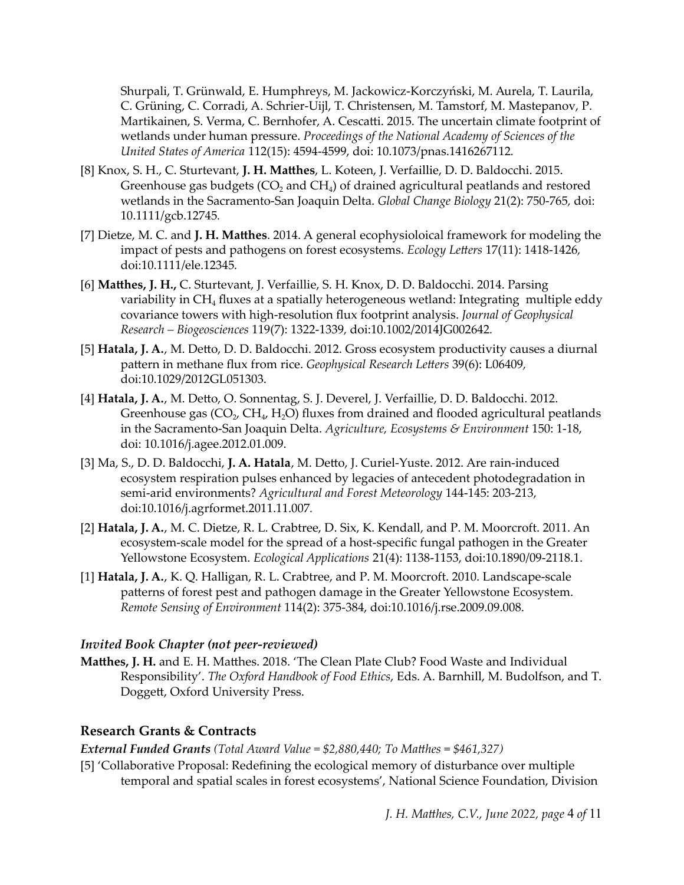Shurpali, T. Grünwald, E. Humphreys, M. Jackowicz-Korczyński, M. Aurela, T. Laurila, C. Grüning, C. Corradi, A. Schrier-Uijl, T. Christensen, M. Tamstorf, M. Mastepanov, P. Martikainen, S. Verma, C. Bernhofer, A. Cescatti. 2015. The uncertain climate footprint of wetlands under human pressure. *Proceedings of the National Academy of Sciences of the United States of America* 112(15): 4594-4599, doi: 10.1073/pnas.1416267112*.*

- [8] Knox, S. H., C. Sturtevant, **J. H. Matthes**, L. Koteen, J. Verfaillie, D. D. Baldocchi. 2015. Greenhouse gas budgets  $(CO_2)$  and  $CH_4$ ) of drained agricultural peatlands and restored wetlands in the Sacramento-San Joaquin Delta. *Global Change Biology* 21(2): 750-765*,* doi: 10.1111/gcb.12745*.*
- [7] Dietze, M. C. and **J. H. Matthes**. 2014. A general ecophysioloical framework for modeling the impact of pests and pathogens on forest ecosystems. *Ecology Letters* 17(11): 1418-1426*,* doi:10.1111/ele.12345*.*
- [6] **Matthes, J. H.,** C. Sturtevant, J. Verfaillie, S. H. Knox, D. D. Baldocchi. 2014. Parsing variability in  $CH<sub>4</sub>$  fluxes at a spatially heterogeneous wetland: Integrating multiple eddy covariance towers with high-resolution flux footprint analysis. *Journal of Geophysical Research – Biogeosciences* 119(7): 1322-1339*,* doi:10.1002/2014JG002642*.*
- [5] **Hatala, J. A.**, M. Detto, D. D. Baldocchi. 2012. Gross ecosystem productivity causes a diurnal pattern in methane flux from rice. *Geophysical Research Letters* 39(6): L06409*,* doi:10.1029/2012GL051303.
- [4] **Hatala, J. A.**, M. Detto, O. Sonnentag, S. J. Deverel, J. Verfaillie, D. D. Baldocchi. 2012. Greenhouse gas (CO<sub>2</sub>, CH<sub>4</sub>, H<sub>2</sub>O) fluxes from drained and flooded agricultural peatlands in the Sacramento-San Joaquin Delta. *Agriculture, Ecosystems & Environment* 150: 1-18, doi: 10.1016/j.agee.2012.01.009.
- [3] Ma, S., D. D. Baldocchi, **J. A. Hatala**, M. Detto, J. Curiel-Yuste. 2012. Are rain-induced ecosystem respiration pulses enhanced by legacies of antecedent photodegradation in semi-arid environments? *Agricultural and Forest Meteorology* 144-145: 203-213[,](http://dx.doi.org/10.1016/j.agrformet.2011.11.007) [doi:10.1016/j.agrformet.2011.11.007](http://dx.doi.org/10.1016/j.agrformet.2011.11.007)*[.](http://dx.doi.org/10.1016/j.agrformet.2011.11.007)*
- [2] **Hatala, J. A.**, M. C. Dietze, R. L. Crabtree, D. Six, K. Kendall, and P. M. Moorcroft. 2011. An ecosystem-scale model for the spread of a host-specific fungal pathogen in the Greater Yellowstone Ecosystem. *Ecological Applications* 21(4): 1138-1153, [doi:10.1890/09-2118.1.](http://dx.doi.org/10.1890/09-2118.1)
- [1] **Hatala, J. A.**, K. Q. Halligan, R. L. Crabtree, and P. M. Moorcroft. 2010. Landscape-scale patterns of forest pest and pathogen damage in the Greater Yellowstone Ecosystem. *Remote Sensing of Environment* 114(2): 375-384, [doi:10.1016/j.rse.2009.09.008.](http://dx.doi.org/10.1016/j.rse.2009.09.008)

#### *Invited Book Chapter (not peer-reviewed)*

**Matthes, J. H.** and E. H. Matthes. 2018. 'The Clean Plate Club? Food Waste and Individual Responsibility'. *The Oxford Handbook of Food Ethics*, Eds. A. Barnhill, M. Budolfson, and T. Doggett, Oxford University Press.

#### **Research Grants & Contracts**

*External Funded Grants (Total Award Value = \$2,880,440; To Matthes* = *\$461,327)*

[5] 'Collaborative Proposal: Redefining the ecological memory of disturbance over multiple temporal and spatial scales in forest ecosystems', National Science Foundation, Division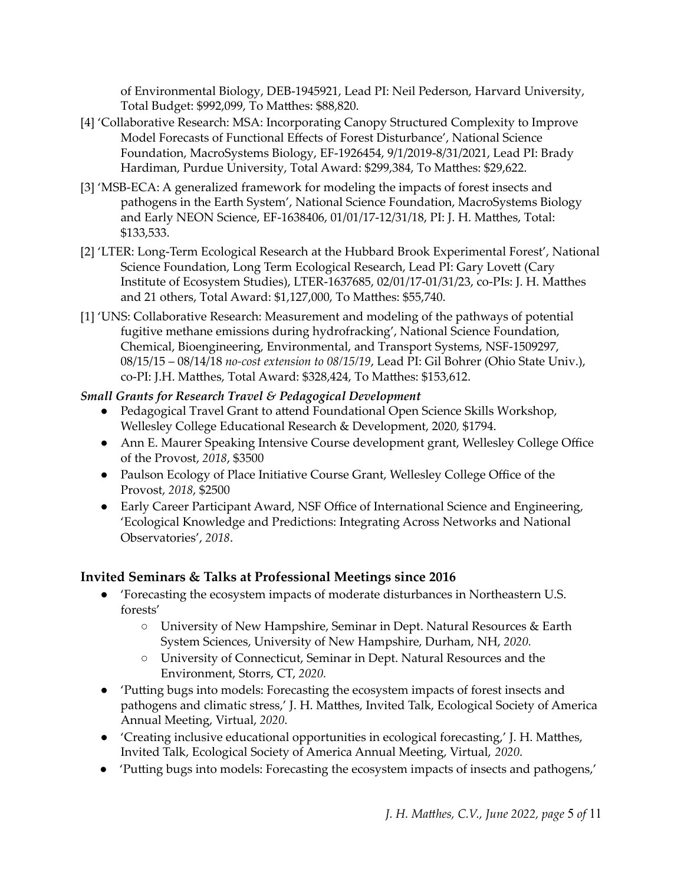of Environmental Biology, DEB-1945921, Lead PI: Neil Pederson, Harvard University, Total Budget: \$992,099, To Matthes: \$88,820.

- [4] 'Collaborative Research: MSA: Incorporating Canopy Structured Complexity to Improve Model Forecasts of Functional Effects of Forest Disturbance', National Science Foundation, MacroSystems Biology, EF-1926454, 9/1/2019-8/31/2021, Lead PI: Brady Hardiman, Purdue University, Total Award: \$299,384, To Matthes: \$29,622.
- [3] 'MSB-ECA: A generalized framework for modeling the impacts of forest insects and pathogens in the Earth System', National Science Foundation, MacroSystems Biology and Early NEON Science, EF-1638406, 01/01/17-12/31/18, PI: J. H. Matthes, Total: \$133,533.
- [2] 'LTER: Long-Term Ecological Research at the Hubbard Brook Experimental Forest', National Science Foundation, Long Term Ecological Research, Lead PI: Gary Lovett (Cary Institute of Ecosystem Studies), LTER-1637685, 02/01/17-01/31/23, co-PIs: J. H. Matthes and 21 others, Total Award: \$1,127,000, To Matthes: \$55,740.
- [1] 'UNS: Collaborative Research: Measurement and modeling of the pathways of potential fugitive methane emissions during hydrofracking', National Science Foundation, Chemical, Bioengineering, Environmental, and Transport Systems, NSF-1509297, 08/15/15 – 08/14/18 *no-cost extension to 08/15/19*, Lead PI: Gil Bohrer (Ohio State Univ.), co-PI: J.H. Matthes, Total Award: \$328,424, To Matthes: \$153,612.

#### *Small Grants for Research Travel & Pedagogical Development*

- Pedagogical Travel Grant to attend Foundational Open Science Skills Workshop, Wellesley College Educational Research & Development, 2020*,* \$1794.
- Ann E. Maurer Speaking Intensive Course development grant, Wellesley College Office of the Provost, *2018*, \$3500
- Paulson Ecology of Place Initiative Course Grant, Wellesley College Office of the Provost, *2018*, \$2500
- Early Career Participant Award, NSF Office of International Science and Engineering, 'Ecological Knowledge and Predictions: Integrating Across Networks and National Observatories', *2018*.

#### **Invited Seminars & Talks at Professional Meetings since 2016**

- 'Forecasting the ecosystem impacts of moderate disturbances in Northeastern U.S. forests'
	- University of New Hampshire, Seminar in Dept. Natural Resources & Earth System Sciences, University of New Hampshire, Durham, NH, *2020.*
	- University of Connecticut, Seminar in Dept. Natural Resources and the Environment, Storrs, CT, *2020.*
- 'Putting bugs into models: Forecasting the ecosystem impacts of forest insects and pathogens and climatic stress,' J. H. Matthes, Invited Talk, Ecological Society of America Annual Meeting, Virtual, *2020*.
- 'Creating inclusive educational opportunities in ecological forecasting,' J. H. Matthes, Invited Talk, Ecological Society of America Annual Meeting, Virtual, *2020*.
- 'Putting bugs into models: Forecasting the ecosystem impacts of insects and pathogens,'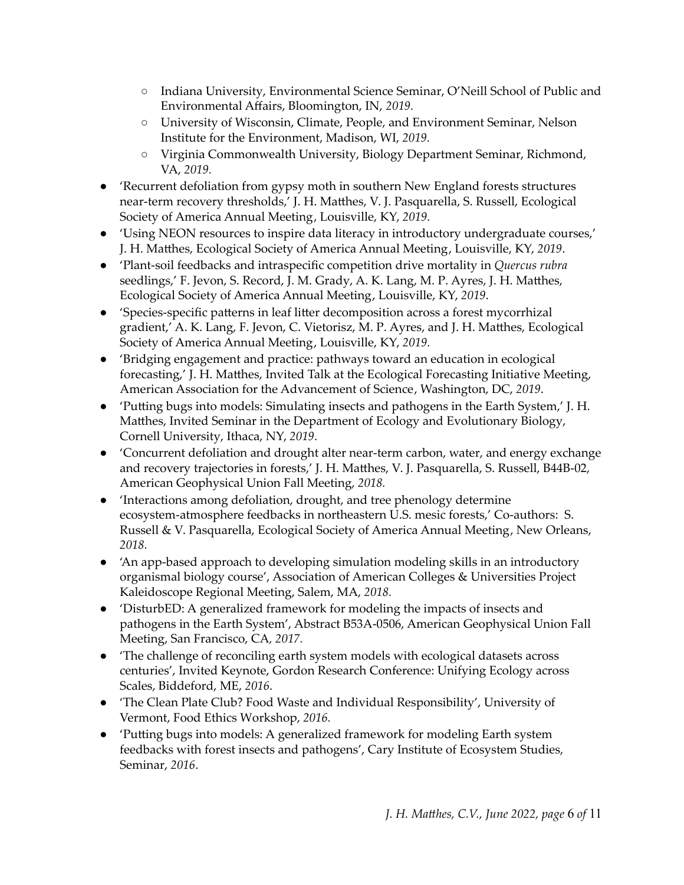- Indiana University, Environmental Science Seminar, O'Neill School of Public and Environmental Affairs, Bloomington, IN, *2019.*
- University of Wisconsin, Climate, People, and Environment Seminar, Nelson Institute for the Environment, Madison, WI, *2019.*
- Virginia Commonwealth University, Biology Department Seminar, Richmond, VA, *2019.*
- 'Recurrent defoliation from gypsy moth in southern New England forests structures near-term recovery thresholds,' J. H. Matthes, V. J. Pasquarella, S. Russell, Ecological Society of America Annual Meeting, Louisville, KY, *2019.*
- 'Using NEON resources to inspire data literacy in introductory undergraduate courses,' J. H. Matthes, Ecological Society of America Annual Meeting, Louisville, KY, *2019*.
- 'Plant-soil feedbacks and intraspecific competition drive mortality in *Quercus rubra* seedlings,' F. Jevon, S. Record, J. M. Grady, A. K. Lang, M. P. Ayres, J. H. Matthes, Ecological Society of America Annual Meeting, Louisville, KY, *2019*.
- 'Species-specific patterns in leaf litter decomposition across a forest mycorrhizal gradient,' A. K. Lang, F. Jevon, C. Vietorisz, M. P. Ayres, and J. H. Matthes, Ecological Society of America Annual Meeting, Louisville, KY, *2019.*
- 'Bridging engagement and practice: pathways toward an education in ecological forecasting,' J. H. Matthes, Invited Talk at the Ecological Forecasting Initiative Meeting, American Association for the Advancement of Science, Washington, DC, *2019*.
- 'Putting bugs into models: Simulating insects and pathogens in the Earth System,' J. H. Matthes, Invited Seminar in the Department of Ecology and Evolutionary Biology, Cornell University, Ithaca, NY, *2019*.
- 'Concurrent defoliation and drought alter near-term carbon, water, and energy exchange and recovery trajectories in forests,' J. H. Matthes, V. J. Pasquarella, S. Russell, B44B-02, American Geophysical Union Fall Meeting, *2018.*
- 'Interactions among defoliation, drought, and tree phenology determine ecosystem-atmosphere feedbacks in northeastern U.S. mesic forests,' Co-authors: S. Russell & V. Pasquarella, Ecological Society of America Annual Meeting, New Orleans, *2018.*
- 'An app-based approach to developing simulation modeling skills in an introductory organismal biology course', Association of American Colleges & Universities Project Kaleidoscope Regional Meeting, Salem, MA, *2018.*
- 'DisturbED: A generalized framework for modeling the impacts of insects and pathogens in the Earth System', Abstract B53A-0506, American Geophysical Union Fall Meeting, San Francisco, CA*, 2017.*
- 'The challenge of reconciling earth system models with ecological datasets across centuries', Invited Keynote, Gordon Research Conference: Unifying Ecology across Scales, Biddeford, ME, *2016*.
- 'The Clean Plate Club? Food Waste and Individual Responsibility', University of Vermont, Food Ethics Workshop, *2016.*
- 'Putting bugs into models: A generalized framework for modeling Earth system feedbacks with forest insects and pathogens', Cary Institute of Ecosystem Studies, Seminar, *2016*.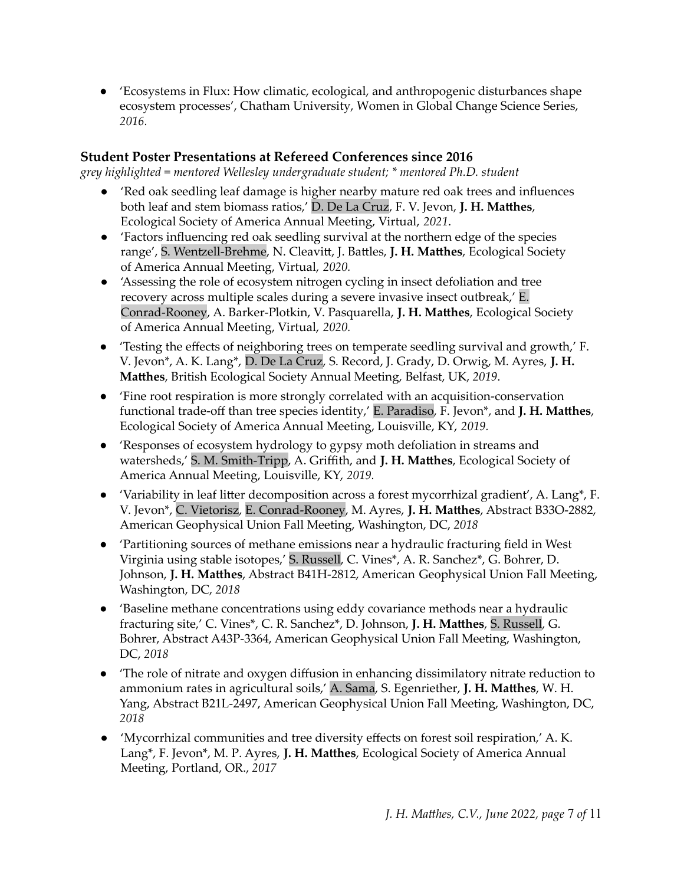● 'Ecosystems in Flux: How climatic, ecological, and anthropogenic disturbances shape ecosystem processes', Chatham University, Women in Global Change Science Series, *2016.*

### **Student Poster Presentations at Refereed Conferences since 2016**

*grey highlighted = mentored Wellesley undergraduate student; \* mentored Ph.D. student*

- 'Red oak seedling leaf damage is higher nearby mature red oak trees and influences both leaf and stem biomass ratios,' D. De La Cruz, F. V. Jevon, **J. H. Matthes**, Ecological Society of America Annual Meeting, Virtual, *2021*.
- 'Factors influencing red oak seedling survival at the northern edge of the species range', S. Wentzell-Brehme, N. Cleavitt, J. Battles, **J. H. Matthes**, Ecological Society of America Annual Meeting, Virtual, *2020.*
- 'Assessing the role of ecosystem nitrogen cycling in insect defoliation and tree recovery across multiple scales during a severe invasive insect outbreak,' E. Conrad-Rooney, A. Barker-Plotkin, V. Pasquarella, **J. H. Matthes**, Ecological Society of America Annual Meeting, Virtual, *2020.*
- 'Testing the effects of neighboring trees on temperate seedling survival and growth,' F. V. Jevon\*, A. K. Lang\*, D. De La Cruz, S. Record, J. Grady, D. Orwig, M. Ayres, **J. H. Matthes**, British Ecological Society Annual Meeting, Belfast, UK, *2019*.
- 'Fine root respiration is more strongly correlated with an acquisition-conservation functional trade-off than tree species identity,' E. Paradiso, F. Jevon\*, and **J. H. Matthes**, Ecological Society of America Annual Meeting, Louisville, KY, *2019.*
- 'Responses of ecosystem hydrology to gypsy moth defoliation in streams and watersheds,' S. M. Smith-Tripp, A. Griffith, and **J. H. Matthes**, Ecological Society of America Annual Meeting, Louisville, KY, *2019.*
- 'Variability in leaf litter decomposition across a forest mycorrhizal gradient', A. Lang\*, F. V. Jevon\*, C. Vietorisz, E. Conrad-Rooney, M. Ayres, **J. H. Matthes**, Abstract B33O-2882, American Geophysical Union Fall Meeting, Washington, DC, *2018*
- 'Partitioning sources of methane emissions near a hydraulic fracturing field in West Virginia using stable isotopes,' S. Russell, C. Vines\*, A. R. Sanchez\*, G. Bohrer, D. Johnson, **J. H. Matthes**, Abstract B41H-2812, American Geophysical Union Fall Meeting, Washington, DC, *2018*
- 'Baseline methane concentrations using eddy covariance methods near a hydraulic fracturing site,' C. Vines\*, C. R. Sanchez\*, D. Johnson, **J. H. Matthes**, S. Russell, G. Bohrer, Abstract A43P-3364, American Geophysical Union Fall Meeting, Washington, DC, *2018*
- **●** 'The role of nitrate and oxygen diffusion in enhancing dissimilatory nitrate reduction to ammonium rates in agricultural soils,' A. Sama, S. Egenriether, **J. H. Matthes**, W. H. Yang, Abstract B21L-2497, American Geophysical Union Fall Meeting, Washington, DC, *2018*
- 'Mycorrhizal communities and tree diversity effects on forest soil respiration,' A. K. Lang\*, F. Jevon\*, M. P. Ayres, **J. H. Matthes**, Ecological Society of America Annual Meeting, Portland, OR., *2017*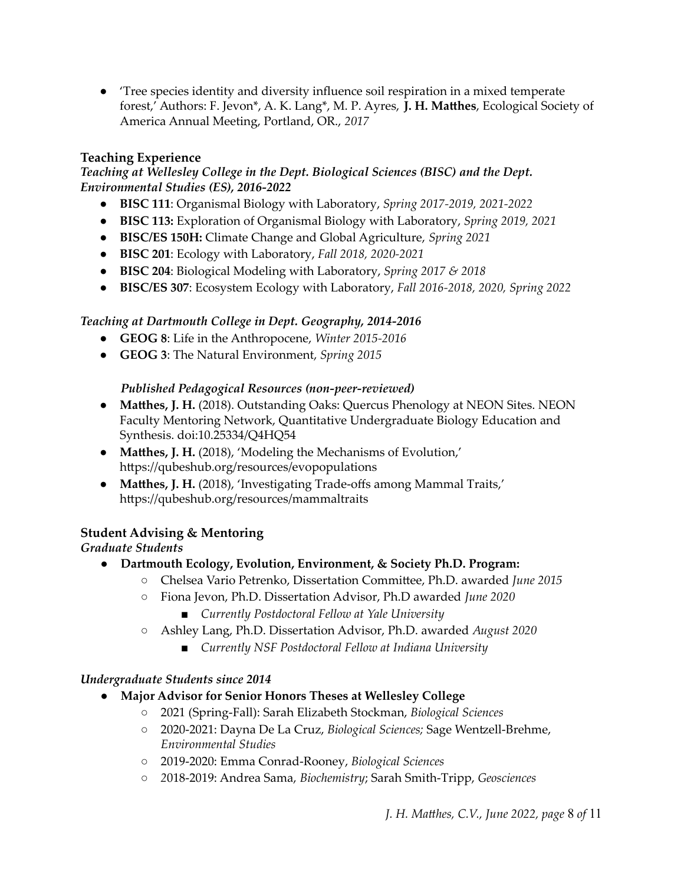● 'Tree species identity and diversity influence soil respiration in a mixed temperate forest,' Authors: F. Jevon\*, A. K. Lang\*, M. P. Ayres, **J. H. Matthes**, Ecological Society of America Annual Meeting, Portland, OR., *2017*

### **Teaching Experience**

### *Teaching at Wellesley College in the Dept. Biological Sciences (BISC) and the Dept. Environmental Studies (ES), 2016-2022*

- **BISC 111**: Organismal Biology with Laboratory, *Spring 2017-2019, 2021-2022*
- **BISC 113:** Exploration of Organismal Biology with Laboratory, *Spring 2019, 2021*
- **BISC/ES 150H:** Climate Change and Global Agriculture, *Spring 2021*
- **BISC 201**: Ecology with Laboratory, *Fall 2018, 2020-2021*
- **BISC 204**: Biological Modeling with Laboratory, *Spring 2017 & 2018*
- **BISC/ES 307**: Ecosystem Ecology with Laboratory, *Fall 2016-2018, 2020, Spring 2022*

# *Teaching at Dartmouth College in Dept. Geography, 2014-2016*

- **GEOG 8**: Life in the Anthropocene, *Winter 2015-2016*
- **GEOG 3**: The Natural Environment, *Spring 2015*

# *Published Pedagogical Resources (non-peer-reviewed)*

- **Matthes, J. H.** (2018). [Outstanding](http://dx.doi.org/10.25334/Q4HQ54) Oaks: Quercus Phenology at NEON Site[s.](http://dx.doi.org/10.25334/Q4HQ54) [NEON](https://qubeshub.org/groups/neon2018) Faculty [Mentoring](https://qubeshub.org/groups/neon2018) Networ[k,](https://qubeshub.org/groups/neon2018) Quantitative Undergraduate Biology Education and Synthesis. [doi:10.25334/Q4HQ54](http://dx.doi.org/10.25334/Q4HQ54)
- **Matthes, J. H.** (2018), 'Modeling the Mechanisms of Evolution,' https://qubeshub.org/resources/evopopulations
- **Matthes, J. H.** (2018), 'Investigating Trade-offs among Mammal Traits,' https://qubeshub.org/resources/mammaltraits

# **Student Advising & Mentoring**

# *Graduate Students*

- **Dartmouth Ecology, Evolution, Environment, & Society Ph.D. Program:**
	- Chelsea Vario Petrenko, Dissertation Committee, Ph.D. awarded *June 2015*
	- Fiona Jevon, Ph.D. Dissertation Advisor, Ph.D awarded *June 2020*
		- *Currently Postdoctoral Fellow at Yale University*
	- Ashley Lang, Ph.D. Dissertation Advisor, Ph.D. awarded *August 2020*
		- *Currently NSF Postdoctoral Fellow at Indiana University*

# *Undergraduate Students since 2014*

- **Major Advisor for Senior Honors Theses at Wellesley College**
	- 2021 (Spring-Fall): Sarah Elizabeth Stockman, *Biological Sciences*
	- 2020-2021: Dayna De La Cruz, *Biological Sciences;* Sage Wentzell-Brehme, *Environmental Studies*
	- 2019-2020: Emma Conrad-Rooney, *Biological Sciences*
	- *2*018-2019: Andrea Sama, *Biochemistry*; Sarah Smith-Tripp, *Geosciences*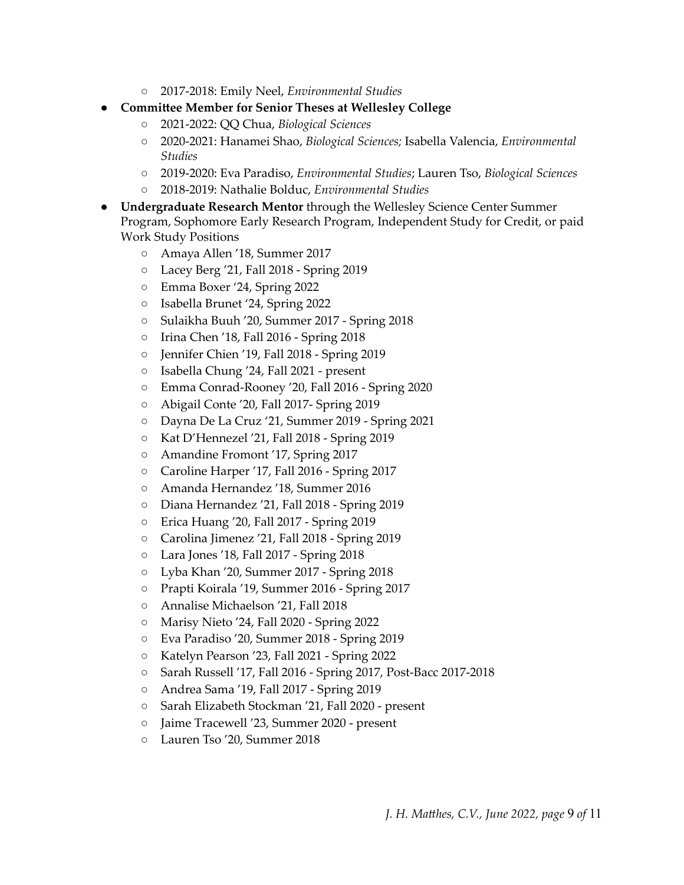- 2017-2018: Emily Neel, *Environmental Studies*
- **Committee Member for Senior Theses at Wellesley College**
	- 2021-2022: QQ Chua, *Biological Sciences*
	- 2020-2021: Hanamei Shao, *Biological Sciences;* Isabella Valencia, *Environmental Studies*
	- 2019-2020: Eva Paradiso, *Environmental Studies*; Lauren Tso, *Biological Sciences*
	- 2018-2019: Nathalie Bolduc, *Environmental Studies*
- **● Undergraduate Research Mentor** through the Wellesley Science Center Summer Program, Sophomore Early Research Program, Independent Study for Credit, or paid Work Study Positions
	- Amaya Allen '18, Summer 2017
	- Lacey Berg '21, Fall 2018 Spring 2019
	- Emma Boxer '24, Spring 2022
	- Isabella Brunet '24, Spring 2022
	- Sulaikha Buuh '20, Summer 2017 Spring 2018
	- Irina Chen '18, Fall 2016 Spring 2018
	- Jennifer Chien '19, Fall 2018 Spring 2019
	- Isabella Chung '24, Fall 2021 present
	- Emma Conrad-Rooney '20, Fall 2016 Spring 2020
	- Abigail Conte '20, Fall 2017- Spring 2019
	- Dayna De La Cruz '21, Summer 2019 Spring 2021
	- Kat D'Hennezel '21, Fall 2018 Spring 2019
	- Amandine Fromont '17, Spring 2017
	- Caroline Harper '17, Fall 2016 Spring 2017
	- Amanda Hernandez '18, Summer 2016
	- Diana Hernandez '21, Fall 2018 Spring 2019
	- Erica Huang '20, Fall 2017 Spring 2019
	- Carolina Jimenez '21, Fall 2018 Spring 2019
	- Lara Jones '18, Fall 2017 Spring 2018
	- Lyba Khan '20, Summer 2017 Spring 2018
	- Prapti Koirala '19, Summer 2016 Spring 2017
	- Annalise Michaelson '21, Fall 2018
	- Marisy Nieto '24, Fall 2020 Spring 2022
	- Eva Paradiso '20, Summer 2018 Spring 2019
	- Katelyn Pearson '23, Fall 2021 Spring 2022
	- Sarah Russell '17, Fall 2016 Spring 2017, Post-Bacc 2017-2018
	- Andrea Sama '19, Fall 2017 Spring 2019
	- Sarah Elizabeth Stockman '21, Fall 2020 present
	- Jaime Tracewell '23, Summer 2020 present
	- Lauren Tso '20, Summer 2018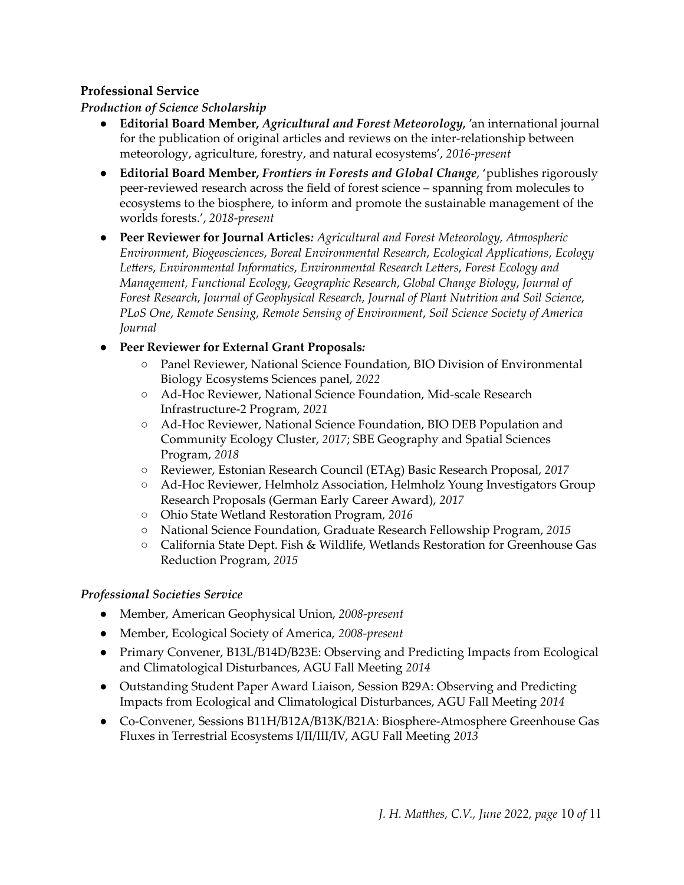### **Professional Service**

*Production of Science Scholarship*

- **Editorial Board Member,** *Agricultural and Forest Meteorology,* 'an international journal for the publication of original articles and reviews on the inter-relationship between meteorology, agriculture, forestry, and natural ecosystems', *2016-present*
- **Editorial Board Member,** *Frontiers in Forests and Global Change*, 'publishes rigorously peer-reviewed research across the field of forest science – spanning from molecules to ecosystems to the biosphere, to inform and promote the sustainable management of the worlds forests.', *2018-present*
- **Peer Reviewer for Journal Articles***: Agricultural and Forest Meteorology, Atmospheric Environment*, *Biogeosciences*, *Boreal Environmental Research*, *Ecological Applications*, *Ecology Letters*, *Environmental Informatics*, *Environmental Research Letters*, *Forest Ecology and Management, Functional Ecology*, *Geographic Research*, *Global Change Biology*, *Journal of Forest Research*, *Journal of Geophysical Research*, *Journal of Plant Nutrition and Soil Science*, *PLoS One*, *Remote Sensing*, *Remote Sensing of Environment*, *Soil Science Society of America Journal*

### ● **Peer Reviewer for External Grant Proposals***:*

- Panel Reviewer, National Science Foundation, BIO Division of Environmental Biology Ecosystems Sciences panel, *2022*
- Ad-Hoc Reviewer, National Science Foundation, Mid-scale Research Infrastructure-2 Program, *2021*
- Ad-Hoc Reviewer, National Science Foundation, BIO DEB Population and Community Ecology Cluster, *2017*; SBE Geography and Spatial Sciences Program, *2018*
- Reviewer, Estonian Research Council (ETAg) Basic Research Proposal, *2017*
- Ad-Hoc Reviewer, Helmholz Association, Helmholz Young Investigators Group Research Proposals (German Early Career Award), *2017*
- Ohio State Wetland Restoration Program, *2016*
- National Science Foundation, Graduate Research Fellowship Program, *2015*
- California State Dept. Fish & Wildlife, Wetlands Restoration for Greenhouse Gas Reduction Program, *2015*

### *Professional Societies Service*

- Member, American Geophysical Union, *2008-present*
- Member, Ecological Society of America, *2008-present*
- Primary Convener, B13L/B14D/B23E: Observing and Predicting Impacts from Ecological and Climatological Disturbances, AGU Fall Meeting *2014*
- Outstanding Student Paper Award Liaison, Session B29A: Observing and Predicting Impacts from Ecological and Climatological Disturbances, AGU Fall Meeting *2014*
- Co-Convener, Sessions B11H/B12A/B13K/B21A: Biosphere-Atmosphere Greenhouse Gas Fluxes in Terrestrial Ecosystems I/II/III/IV, AGU Fall Meeting *2013*